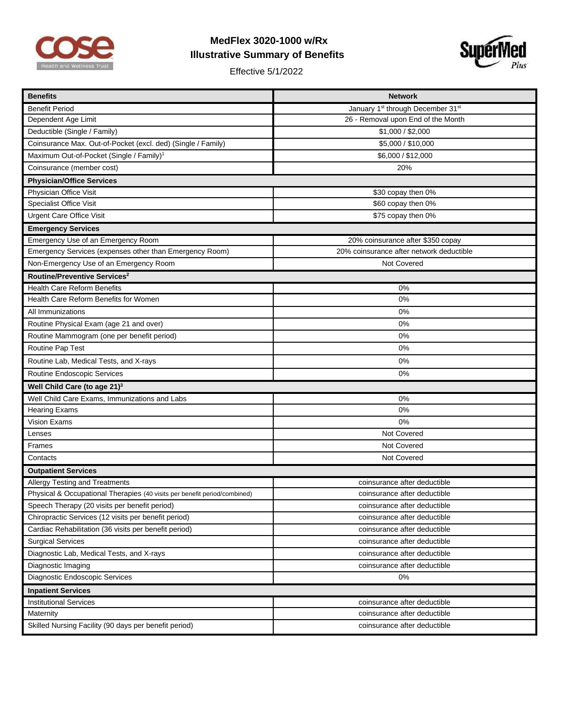

## **MedFlex 3020-1000 w/Rx Illustrative Summary of Benefits**

Effective 5/1/2022



| <b>Benefits</b>                                                           | <b>Network</b>                                            |  |
|---------------------------------------------------------------------------|-----------------------------------------------------------|--|
| <b>Benefit Period</b>                                                     | January 1 <sup>st</sup> through December 31 <sup>st</sup> |  |
| Dependent Age Limit                                                       | 26 - Removal upon End of the Month                        |  |
| Deductible (Single / Family)                                              | \$1,000 / \$2,000                                         |  |
| Coinsurance Max. Out-of-Pocket (excl. ded) (Single / Family)              | \$5,000 / \$10,000                                        |  |
| Maximum Out-of-Pocket (Single / Family) <sup>1</sup>                      | \$6,000 / \$12,000                                        |  |
| Coinsurance (member cost)                                                 | 20%                                                       |  |
| <b>Physician/Office Services</b>                                          |                                                           |  |
| Physician Office Visit                                                    | \$30 copay then 0%                                        |  |
| <b>Specialist Office Visit</b>                                            | \$60 copay then 0%                                        |  |
| <b>Urgent Care Office Visit</b>                                           | \$75 copay then 0%                                        |  |
| <b>Emergency Services</b>                                                 |                                                           |  |
| Emergency Use of an Emergency Room                                        | 20% coinsurance after \$350 copay                         |  |
| Emergency Services (expenses other than Emergency Room)                   | 20% coinsurance after network deductible                  |  |
| Non-Emergency Use of an Emergency Room                                    | Not Covered                                               |  |
| Routine/Preventive Services <sup>2</sup>                                  |                                                           |  |
| <b>Health Care Reform Benefits</b>                                        | 0%                                                        |  |
| Health Care Reform Benefits for Women                                     | 0%                                                        |  |
| All Immunizations                                                         | 0%                                                        |  |
| Routine Physical Exam (age 21 and over)                                   | 0%                                                        |  |
| Routine Mammogram (one per benefit period)                                | 0%                                                        |  |
| Routine Pap Test                                                          | 0%                                                        |  |
| Routine Lab, Medical Tests, and X-rays                                    | 0%                                                        |  |
| Routine Endoscopic Services                                               | 0%                                                        |  |
| Well Child Care (to age 21) <sup>3</sup>                                  |                                                           |  |
| Well Child Care Exams, Immunizations and Labs                             | 0%                                                        |  |
| <b>Hearing Exams</b>                                                      | 0%                                                        |  |
| <b>Vision Exams</b>                                                       | 0%                                                        |  |
| Lenses                                                                    | Not Covered                                               |  |
| Frames                                                                    | Not Covered                                               |  |
| Contacts                                                                  | Not Covered                                               |  |
| <b>Outpatient Services</b>                                                |                                                           |  |
| Allergy Testing and Treatments                                            | coinsurance after deductible                              |  |
| Physical & Occupational Therapies (40 visits per benefit period/combined) | coinsurance after deductible                              |  |
| Speech Therapy (20 visits per benefit period)                             | coinsurance after deductible                              |  |
| Chiropractic Services (12 visits per benefit period)                      | coinsurance after deductible                              |  |
| Cardiac Rehabilitation (36 visits per benefit period)                     | coinsurance after deductible                              |  |
| <b>Surgical Services</b>                                                  | coinsurance after deductible                              |  |
| Diagnostic Lab, Medical Tests, and X-rays                                 | coinsurance after deductible                              |  |
| Diagnostic Imaging                                                        | coinsurance after deductible                              |  |
| Diagnostic Endoscopic Services                                            | 0%                                                        |  |
| <b>Inpatient Services</b>                                                 |                                                           |  |
| <b>Institutional Services</b>                                             | coinsurance after deductible                              |  |
| Maternity                                                                 | coinsurance after deductible                              |  |
| Skilled Nursing Facility (90 days per benefit period)                     | coinsurance after deductible                              |  |